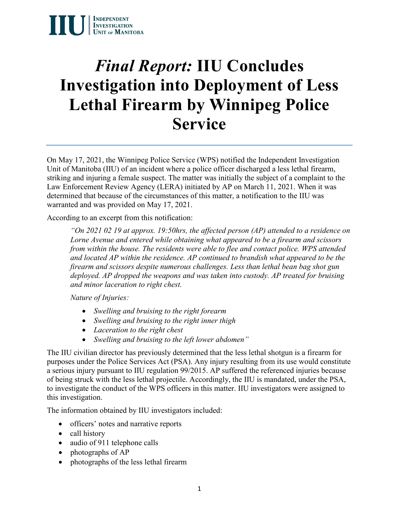### *Final Report:* **IIU Concludes Investigation into Deployment of Less Lethal Firearm by Winnipeg Police Service**

On May 17, 2021, the Winnipeg Police Service (WPS) notified the Independent Investigation Unit of Manitoba (IIU) of an incident where a police officer discharged a less lethal firearm, striking and injuring a female suspect. The matter was initially the subject of a complaint to the Law Enforcement Review Agency (LERA) initiated by AP on March 11, 2021. When it was determined that because of the circumstances of this matter, a notification to the IIU was warranted and was provided on May 17, 2021.

According to an excerpt from this notification:

*"On 2021 02 19 at approx. 19:50hrs, the affected person (AP) attended to a residence on Lorne Avenue and entered while obtaining what appeared to be a firearm and scissors from within the house. The residents were able to flee and contact police. WPS attended and located AP within the residence. AP continued to brandish what appeared to be the firearm and scissors despite numerous challenges. Less than lethal bean bag shot gun deployed. AP dropped the weapons and was taken into custody. AP treated for bruising and minor laceration to right chest.* 

*Nature of Injuries:* 

- *Swelling and bruising to the right forearm*
- *Swelling and bruising to the right inner thigh*
- *Laceration to the right chest*
- *Swelling and bruising to the left lower abdomen"*

The IIU civilian director has previously determined that the less lethal shotgun is a firearm for purposes under the Police Services Act (PSA). Any injury resulting from its use would constitute a serious injury pursuant to IIU regulation 99/2015. AP suffered the referenced injuries because of being struck with the less lethal projectile. Accordingly, the IIU is mandated, under the PSA, to investigate the conduct of the WPS officers in this matter. IIU investigators were assigned to this investigation.

The information obtained by IIU investigators included:

- officers' notes and narrative reports
- call history
- audio of 911 telephone calls
- photographs of AP
- photographs of the less lethal firearm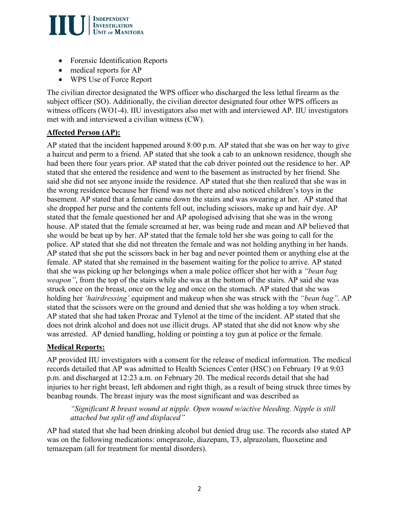

- Forensic Identification Reports
- medical reports for AP
- WPS Use of Force Report

The civilian director designated the WPS officer who discharged the less lethal firearm as the subject officer (SO). Additionally, the civilian director designated four other WPS officers as witness officers (WO1-4). IIU investigators also met with and interviewed AP. IIU investigators met with and interviewed a civilian witness (CW).

### **Affected Person (AP):**

AP stated that the incident happened around 8:00 p.m. AP stated that she was on her way to give a haircut and perm to a friend. AP stated that she took a cab to an unknown residence, though she had been there four years prior. AP stated that the cab driver pointed out the residence to her. AP stated that she entered the residence and went to the basement as instructed by her friend. She said she did not see anyone inside the residence. AP stated that she then realized that she was in the wrong residence because her friend was not there and also noticed children's toys in the basement. AP stated that a female came down the stairs and was swearing at her. AP stated that she dropped her purse and the contents fell out, including scissors, make up and hair dye. AP stated that the female questioned her and AP apologised advising that she was in the wrong house. AP stated that the female screamed at her, was being rude and mean and AP believed that she would be beat up by her. AP stated that the female told her she was going to call for the police. AP stated that she did not threaten the female and was not holding anything in her hands. AP stated that she put the scissors back in her bag and never pointed them or anything else at the female. AP stated that she remained in the basement waiting for the police to arrive. AP stated that she was picking up her belongings when a male police officer shot her with a *"bean bag weapon"*, from the top of the stairs while she was at the bottom of the stairs. AP said she was struck once on the breast, once on the leg and once on the stomach. AP stated that she was holding her *'hairdressing'* equipment and makeup when she was struck with the *"bean bag"*. AP stated that the scissors were on the ground and denied that she was holding a toy when struck. AP stated that she had taken Prozac and Tylenol at the time of the incident. AP stated that she does not drink alcohol and does not use illicit drugs. AP stated that she did not know why she was arrested. AP denied handling, holding or pointing a toy gun at police or the female.

### **Medical Reports:**

AP provided IIU investigators with a consent for the release of medical information. The medical records detailed that AP was admitted to Health Sciences Center (HSC) on February 19 at 9:03 p.m. and discharged at 12:23 a.m. on February 20. The medical records detail that she had injuries to her right breast, left abdomen and right thigh, as a result of being struck three times by beanbag rounds. The breast injury was the most significant and was described as

*"Significant R breast wound at nipple. Open wound w/active bleeding. Nipple is still attached but split off and displaced"*

AP had stated that she had been drinking alcohol but denied drug use. The records also stated AP was on the following medications: omeprazole, diazepam, T3, alprazolam, fluoxetine and temazepam (all for treatment for mental disorders).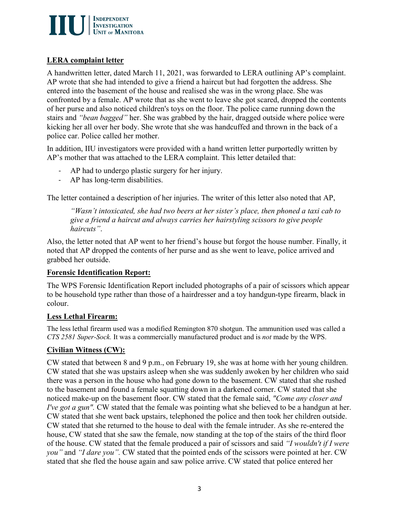

### **LERA complaint letter**

A handwritten letter, dated March 11, 2021, was forwarded to LERA outlining AP's complaint. AP wrote that she had intended to give a friend a haircut but had forgotten the address. She entered into the basement of the house and realised she was in the wrong place. She was confronted by a female. AP wrote that as she went to leave she got scared, dropped the contents of her purse and also noticed children's toys on the floor. The police came running down the stairs and *"bean bagged"* her. She was grabbed by the hair, dragged outside where police were kicking her all over her body. She wrote that she was handcuffed and thrown in the back of a police car. Police called her mother.

In addition, IIU investigators were provided with a hand written letter purportedly written by AP's mother that was attached to the LERA complaint. This letter detailed that:

- AP had to undergo plastic surgery for her injury.
- AP has long-term disabilities.

The letter contained a description of her injuries. The writer of this letter also noted that AP,

*"Wasn't intoxicated, she had two beers at her sister's place, then phoned a taxi cab to give a friend a haircut and always carries her hairstyling scissors to give people haircuts"*.

Also, the letter noted that AP went to her friend's house but forgot the house number. Finally, it noted that AP dropped the contents of her purse and as she went to leave, police arrived and grabbed her outside.

### **Forensic Identification Report:**

The WPS Forensic Identification Report included photographs of a pair of scissors which appear to be household type rather than those of a hairdresser and a toy handgun-type firearm, black in colour.

### **Less Lethal Firearm:**

The less lethal firearm used was a modified Remington 870 shotgun. The ammunition used was called a *CTS 2581 Super-Sock.* It was a commercially manufactured product and is *not* made by the WPS.

### **Civilian Witness (CW):**

CW stated that between 8 and 9 p.m., on February 19, she was at home with her young children. CW stated that she was upstairs asleep when she was suddenly awoken by her children who said there was a person in the house who had gone down to the basement. CW stated that she rushed to the basement and found a female squatting down in a darkened corner. CW stated that she noticed make-up on the basement floor. CW stated that the female said, *"Come any closer and I've got a gun"*. CW stated that the female was pointing what she believed to be a handgun at her. CW stated that she went back upstairs, telephoned the police and then took her children outside. CW stated that she returned to the house to deal with the female intruder. As she re-entered the house, CW stated that she saw the female, now standing at the top of the stairs of the third floor of the house. CW stated that the female produced a pair of scissors and said *"I wouldn't if I were you"* and *"I dare you".* CW stated that the pointed ends of the scissors were pointed at her. CW stated that she fled the house again and saw police arrive. CW stated that police entered her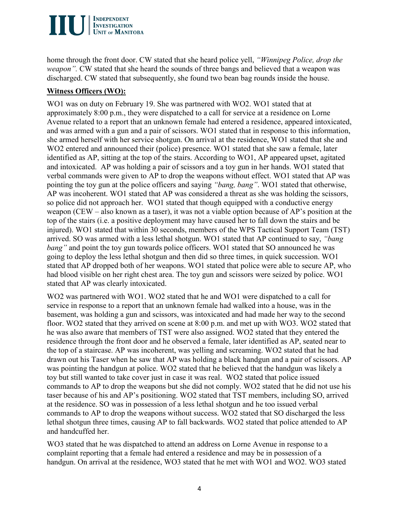# **INDEPENDENT<br>INVESTIGATION<br>UNIT OF MANITOBA**

home through the front door. CW stated that she heard police yell, *"Winnipeg Police, drop the weapon*". CW stated that she heard the sounds of three bangs and believed that a weapon was discharged. CW stated that subsequently, she found two bean bag rounds inside the house.

### **Witness Officers (WO):**

WO1 was on duty on February 19. She was partnered with WO2. WO1 stated that at approximately 8:00 p.m., they were dispatched to a call for service at a residence on Lorne Avenue related to a report that an unknown female had entered a residence, appeared intoxicated, and was armed with a gun and a pair of scissors. WO1 stated that in response to this information, she armed herself with her service shotgun. On arrival at the residence, WO1 stated that she and WO2 entered and announced their (police) presence. WO1 stated that she saw a female, later identified as AP, sitting at the top of the stairs. According to WO1, AP appeared upset, agitated and intoxicated. AP was holding a pair of scissors and a toy gun in her hands. WO1 stated that verbal commands were given to AP to drop the weapons without effect. WO1 stated that AP was pointing the toy gun at the police officers and saying *"bang, bang"*. WO1 stated that otherwise, AP was incoherent. WO1 stated that AP was considered a threat as she was holding the scissors, so police did not approach her. WO1 stated that though equipped with a conductive energy weapon (CEW – also known as a taser), it was not a viable option because of AP's position at the top of the stairs (i.e. a positive deployment may have caused her to fall down the stairs and be injured). WO1 stated that within 30 seconds, members of the WPS Tactical Support Team (TST) arrived. SO was armed with a less lethal shotgun. WO1 stated that AP continued to say, *"bang bang*" and point the toy gun towards police officers. WO1 stated that SO announced he was going to deploy the less lethal shotgun and then did so three times, in quick succession. WO1 stated that AP dropped both of her weapons. WO1 stated that police were able to secure AP, who had blood visible on her right chest area. The toy gun and scissors were seized by police. WO1 stated that AP was clearly intoxicated.

WO2 was partnered with WO1. WO2 stated that he and WO1 were dispatched to a call for service in response to a report that an unknown female had walked into a house, was in the basement, was holding a gun and scissors, was intoxicated and had made her way to the second floor. WO2 stated that they arrived on scene at 8:00 p.m. and met up with WO3. WO2 stated that he was also aware that members of TST were also assigned. WO2 stated that they entered the residence through the front door and he observed a female, later identified as AP, seated near to the top of a staircase. AP was incoherent, was yelling and screaming. WO2 stated that he had drawn out his Taser when he saw that AP was holding a black handgun and a pair of scissors. AP was pointing the handgun at police. WO2 stated that he believed that the handgun was likely a toy but still wanted to take cover just in case it was real. WO2 stated that police issued commands to AP to drop the weapons but she did not comply. WO2 stated that he did not use his taser because of his and AP's positioning. WO2 stated that TST members, including SO, arrived at the residence. SO was in possession of a less lethal shotgun and he too issued verbal commands to AP to drop the weapons without success. WO2 stated that SO discharged the less lethal shotgun three times, causing AP to fall backwards. WO2 stated that police attended to AP and handcuffed her.

WO3 stated that he was dispatched to attend an address on Lorne Avenue in response to a complaint reporting that a female had entered a residence and may be in possession of a handgun. On arrival at the residence, WO3 stated that he met with WO1 and WO2. WO3 stated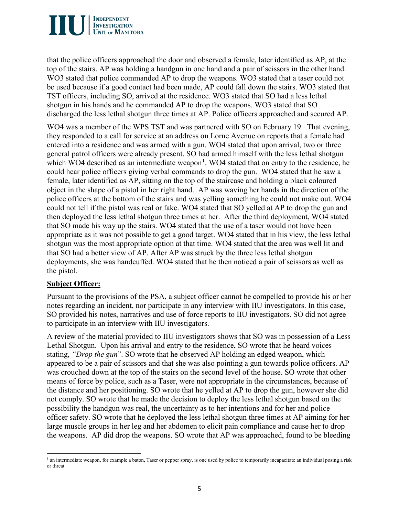### **INDEPENDENT** INDETENDENT<br>
INVESTIGATION<br>
UNIT OF MANITOBA

that the police officers approached the door and observed a female, later identified as AP, at the top of the stairs. AP was holding a handgun in one hand and a pair of scissors in the other hand. WO3 stated that police commanded AP to drop the weapons. WO3 stated that a taser could not be used because if a good contact had been made, AP could fall down the stairs. WO3 stated that TST officers, including SO, arrived at the residence. WO3 stated that SO had a less lethal shotgun in his hands and he commanded AP to drop the weapons. WO3 stated that SO discharged the less lethal shotgun three times at AP. Police officers approached and secured AP.

WO4 was a member of the WPS TST and was partnered with SO on February 19. That evening, they responded to a call for service at an address on Lorne Avenue on reports that a female had entered into a residence and was armed with a gun. WO4 stated that upon arrival, two or three general patrol officers were already present. SO had armed himself with the less lethal shotgun which WO4 described as an intermediate weapon<sup>[1](#page-4-0)</sup>. WO4 stated that on entry to the residence, he could hear police officers giving verbal commands to drop the gun. WO4 stated that he saw a female, later identified as AP, sitting on the top of the staircase and holding a black coloured object in the shape of a pistol in her right hand. AP was waving her hands in the direction of the police officers at the bottom of the stairs and was yelling something he could not make out. WO4 could not tell if the pistol was real or fake. WO4 stated that SO yelled at AP to drop the gun and then deployed the less lethal shotgun three times at her. After the third deployment, WO4 stated that SO made his way up the stairs. WO4 stated that the use of a taser would not have been appropriate as it was not possible to get a good target. WO4 stated that in his view, the less lethal shotgun was the most appropriate option at that time. WO4 stated that the area was well lit and that SO had a better view of AP. After AP was struck by the three less lethal shotgun deployments, she was handcuffed. WO4 stated that he then noticed a pair of scissors as well as the pistol.

### **Subject Officer:**

Pursuant to the provisions of the PSA, a subject officer cannot be compelled to provide his or her notes regarding an incident, nor participate in any interview with IIU investigators. In this case, SO provided his notes, narratives and use of force reports to IIU investigators. SO did not agree to participate in an interview with IIU investigators.

A review of the material provided to IIU investigators shows that SO was in possession of a Less Lethal Shotgun. Upon his arrival and entry to the residence, SO wrote that he heard voices stating, *"Drop the gun*". SO wrote that he observed AP holding an edged weapon, which appeared to be a pair of scissors and that she was also pointing a gun towards police officers. AP was crouched down at the top of the stairs on the second level of the house. SO wrote that other means of force by police, such as a Taser, were not appropriate in the circumstances, because of the distance and her positioning. SO wrote that he yelled at AP to drop the gun, however she did not comply. SO wrote that he made the decision to deploy the less lethal shotgun based on the possibility the handgun was real, the uncertainty as to her intentions and for her and police officer safety. SO wrote that he deployed the less lethal shotgun three times at AP aiming for her large muscle groups in her leg and her abdomen to elicit pain compliance and cause her to drop the weapons. AP did drop the weapons. SO wrote that AP was approached, found to be bleeding

<span id="page-4-0"></span> $\overline{a}$ <sup>1</sup> an intermediate weapon, for example a baton, Taser or pepper spray, is one used by police to temporarily incapacitate an individual posing a risk or threat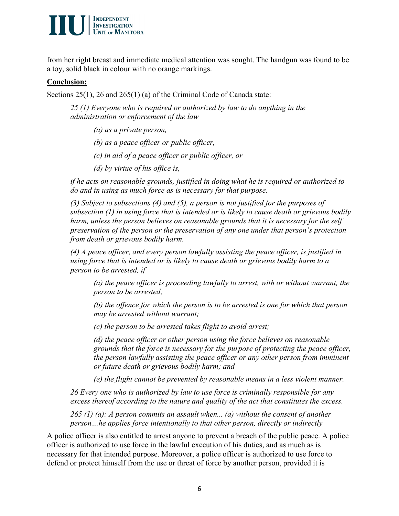

from her right breast and immediate medical attention was sought. The handgun was found to be a toy, solid black in colour with no orange markings.

#### **Conclusion:**

Sections 25(1), 26 and 265(1) (a) of the Criminal Code of Canada state:

*25 (1) Everyone who is required or authorized by law to do anything in the administration or enforcement of the law* 

*(a) as a private person,* 

*(b) as a peace officer or public officer,* 

*(c) in aid of a peace officer or public officer, or* 

*(d) by virtue of his office is,* 

*if he acts on reasonable grounds, justified in doing what he is required or authorized to do and in using as much force as is necessary for that purpose.* 

*(3) Subject to subsections (4) and (5), a person is not justified for the purposes of subsection (1) in using force that is intended or is likely to cause death or grievous bodily harm, unless the person believes on reasonable grounds that it is necessary for the self preservation of the person or the preservation of any one under that person's protection from death or grievous bodily harm.* 

*(4) A peace officer, and every person lawfully assisting the peace officer, is justified in using force that is intended or is likely to cause death or grievous bodily harm to a person to be arrested, if* 

*(a) the peace officer is proceeding lawfully to arrest, with or without warrant, the person to be arrested;* 

*(b) the offence for which the person is to be arrested is one for which that person may be arrested without warrant;* 

*(c) the person to be arrested takes flight to avoid arrest;* 

*(d) the peace officer or other person using the force believes on reasonable grounds that the force is necessary for the purpose of protecting the peace officer, the person lawfully assisting the peace officer or any other person from imminent or future death or grievous bodily harm; and* 

*(e) the flight cannot be prevented by reasonable means in a less violent manner.* 

*26 Every one who is authorized by law to use force is criminally responsible for any excess thereof according to the nature and quality of the act that constitutes the excess.* 

*265 (1) (a): A person commits an assault when... (a) without the consent of another person…he applies force intentionally to that other person, directly or indirectly* 

A police officer is also entitled to arrest anyone to prevent a breach of the public peace. A police officer is authorized to use force in the lawful execution of his duties, and as much as is necessary for that intended purpose. Moreover, a police officer is authorized to use force to defend or protect himself from the use or threat of force by another person, provided it is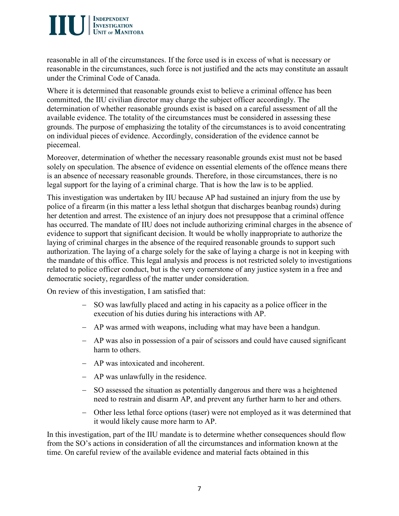## **INDEPENDENT<br>INVESTIGATION<br>UNIT OF MANITOBA**

reasonable in all of the circumstances. If the force used is in excess of what is necessary or reasonable in the circumstances, such force is not justified and the acts may constitute an assault under the Criminal Code of Canada.

Where it is determined that reasonable grounds exist to believe a criminal offence has been committed, the IIU civilian director may charge the subject officer accordingly. The determination of whether reasonable grounds exist is based on a careful assessment of all the available evidence. The totality of the circumstances must be considered in assessing these grounds. The purpose of emphasizing the totality of the circumstances is to avoid concentrating on individual pieces of evidence. Accordingly, consideration of the evidence cannot be piecemeal.

Moreover, determination of whether the necessary reasonable grounds exist must not be based solely on speculation. The absence of evidence on essential elements of the offence means there is an absence of necessary reasonable grounds. Therefore, in those circumstances, there is no legal support for the laying of a criminal charge. That is how the law is to be applied.

This investigation was undertaken by IIU because AP had sustained an injury from the use by police of a firearm (in this matter a less lethal shotgun that discharges beanbag rounds) during her detention and arrest. The existence of an injury does not presuppose that a criminal offence has occurred. The mandate of IIU does not include authorizing criminal charges in the absence of evidence to support that significant decision. It would be wholly inappropriate to authorize the laying of criminal charges in the absence of the required reasonable grounds to support such authorization. The laying of a charge solely for the sake of laying a charge is not in keeping with the mandate of this office. This legal analysis and process is not restricted solely to investigations related to police officer conduct, but is the very cornerstone of any justice system in a free and democratic society, regardless of the matter under consideration.

On review of this investigation, I am satisfied that:

- − SO was lawfully placed and acting in his capacity as a police officer in the execution of his duties during his interactions with AP.
- − AP was armed with weapons, including what may have been a handgun.
- − AP was also in possession of a pair of scissors and could have caused significant harm to others.
- − AP was intoxicated and incoherent.
- − AP was unlawfully in the residence.
- − SO assessed the situation as potentially dangerous and there was a heightened need to restrain and disarm AP, and prevent any further harm to her and others.
- − Other less lethal force options (taser) were not employed as it was determined that it would likely cause more harm to AP.

In this investigation, part of the IIU mandate is to determine whether consequences should flow from the SO's actions in consideration of all the circumstances and information known at the time. On careful review of the available evidence and material facts obtained in this